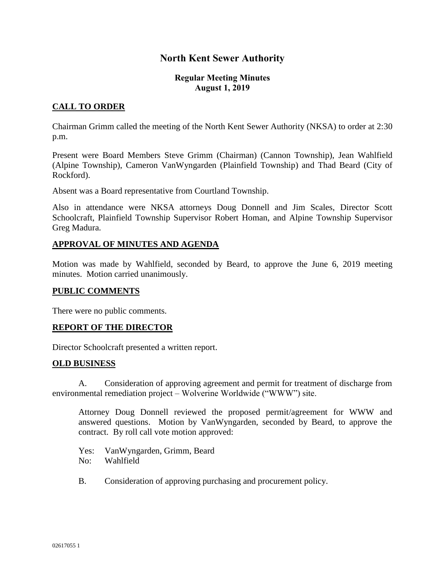# **North Kent Sewer Authority**

### **Regular Meeting Minutes August 1, 2019**

# **CALL TO ORDER**

Chairman Grimm called the meeting of the North Kent Sewer Authority (NKSA) to order at 2:30 p.m.

Present were Board Members Steve Grimm (Chairman) (Cannon Township), Jean Wahlfield (Alpine Township), Cameron VanWyngarden (Plainfield Township) and Thad Beard (City of Rockford).

Absent was a Board representative from Courtland Township.

Also in attendance were NKSA attorneys Doug Donnell and Jim Scales, Director Scott Schoolcraft, Plainfield Township Supervisor Robert Homan, and Alpine Township Supervisor Greg Madura.

### **APPROVAL OF MINUTES AND AGENDA**

Motion was made by Wahlfield, seconded by Beard, to approve the June 6, 2019 meeting minutes. Motion carried unanimously.

### **PUBLIC COMMENTS**

There were no public comments.

### **REPORT OF THE DIRECTOR**

Director Schoolcraft presented a written report.

#### **OLD BUSINESS**

A. Consideration of approving agreement and permit for treatment of discharge from environmental remediation project – Wolverine Worldwide ("WWW") site.

Attorney Doug Donnell reviewed the proposed permit/agreement for WWW and answered questions. Motion by VanWyngarden, seconded by Beard, to approve the contract. By roll call vote motion approved:

Yes: VanWyngarden, Grimm, Beard No: Wahlfield

B. Consideration of approving purchasing and procurement policy.